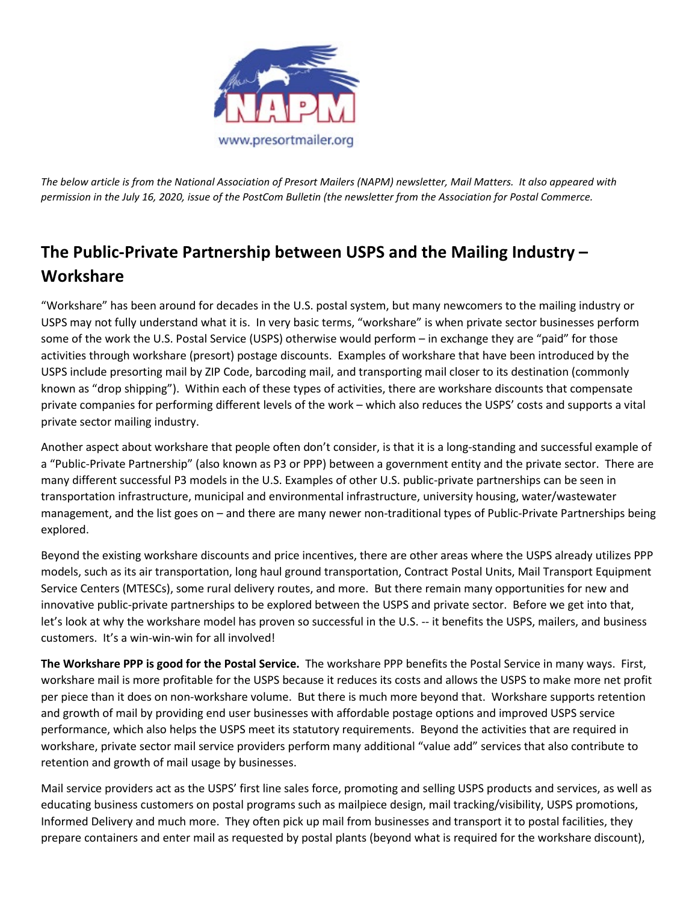

*The below article is from the National Association of Presort Mailers (NAPM) newsletter, Mail Matters. It also appeared with permission in the July 16, 2020, issue of the PostCom Bulletin (the newsletter from the Association for Postal Commerce.*

## **The Public-Private Partnership between USPS and the Mailing Industry – Workshare**

"Workshare" has been around for decades in the U.S. postal system, but many newcomers to the mailing industry or USPS may not fully understand what it is. In very basic terms, "workshare" is when private sector businesses perform some of the work the U.S. Postal Service (USPS) otherwise would perform – in exchange they are "paid" for those activities through workshare (presort) postage discounts. Examples of workshare that have been introduced by the USPS include presorting mail by ZIP Code, barcoding mail, and transporting mail closer to its destination (commonly known as "drop shipping"). Within each of these types of activities, there are workshare discounts that compensate private companies for performing different levels of the work – which also reduces the USPS' costs and supports a vital private sector mailing industry.

Another aspect about workshare that people often don't consider, is that it is a long-standing and successful example of a "Public-Private Partnership" (also known as P3 or PPP) between a government entity and the private sector. There are many different successful P3 models in the U.S. Examples of other U.S. public-private partnerships can be seen in transportation infrastructure, municipal and environmental infrastructure, university housing, water/wastewater management, and the list goes on – and there are many newer non-traditional types of Public-Private Partnerships being explored.

Beyond the existing workshare discounts and price incentives, there are other areas where the USPS already utilizes PPP models, such as its air transportation, long haul ground transportation, Contract Postal Units, Mail Transport Equipment Service Centers (MTESCs), some rural delivery routes, and more. But there remain many opportunities for new and innovative public-private partnerships to be explored between the USPS and private sector. Before we get into that, let's look at why the workshare model has proven so successful in the U.S. -- it benefits the USPS, mailers, and business customers. It's a win-win-win for all involved!

**The Workshare PPP is good for the Postal Service.** The workshare PPP benefits the Postal Service in many ways. First, workshare mail is more profitable for the USPS because it reduces its costs and allows the USPS to make more net profit per piece than it does on non-workshare volume. But there is much more beyond that. Workshare supports retention and growth of mail by providing end user businesses with affordable postage options and improved USPS service performance, which also helps the USPS meet its statutory requirements. Beyond the activities that are required in workshare, private sector mail service providers perform many additional "value add" services that also contribute to retention and growth of mail usage by businesses.

Mail service providers act as the USPS' first line sales force, promoting and selling USPS products and services, as well as educating business customers on postal programs such as mailpiece design, mail tracking/visibility, USPS promotions, Informed Delivery and much more. They often pick up mail from businesses and transport it to postal facilities, they prepare containers and enter mail as requested by postal plants (beyond what is required for the workshare discount),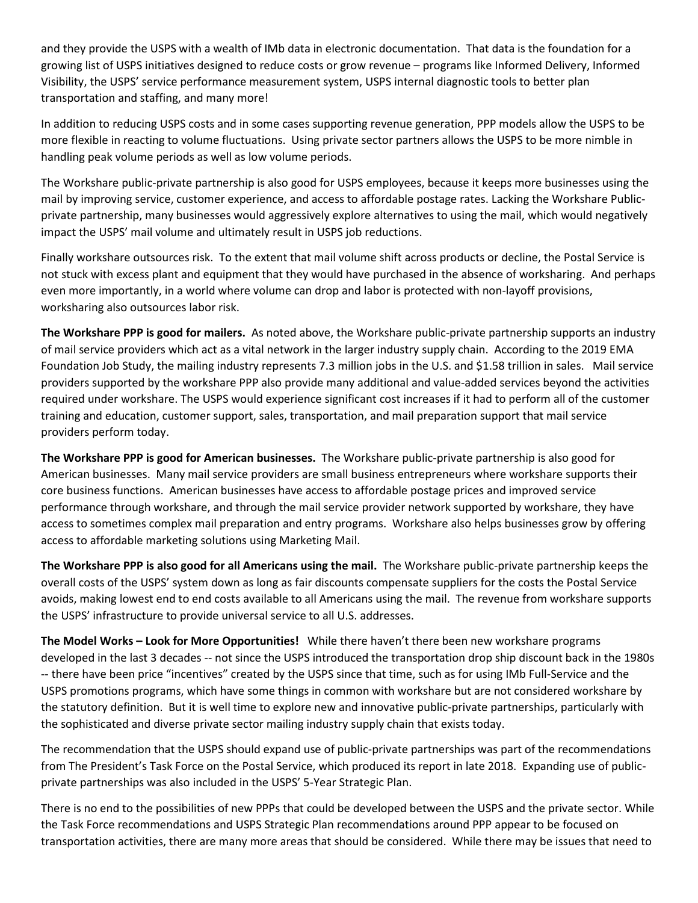and they provide the USPS with a wealth of IMb data in electronic documentation. That data is the foundation for a growing list of USPS initiatives designed to reduce costs or grow revenue – programs like Informed Delivery, Informed Visibility, the USPS' service performance measurement system, USPS internal diagnostic tools to better plan transportation and staffing, and many more!

In addition to reducing USPS costs and in some cases supporting revenue generation, PPP models allow the USPS to be more flexible in reacting to volume fluctuations. Using private sector partners allows the USPS to be more nimble in handling peak volume periods as well as low volume periods.

The Workshare public-private partnership is also good for USPS employees, because it keeps more businesses using the mail by improving service, customer experience, and access to affordable postage rates. Lacking the Workshare Publicprivate partnership, many businesses would aggressively explore alternatives to using the mail, which would negatively impact the USPS' mail volume and ultimately result in USPS job reductions.

Finally workshare outsources risk. To the extent that mail volume shift across products or decline, the Postal Service is not stuck with excess plant and equipment that they would have purchased in the absence of worksharing. And perhaps even more importantly, in a world where volume can drop and labor is protected with non-layoff provisions, worksharing also outsources labor risk.

**The Workshare PPP is good for mailers.** As noted above, the Workshare public-private partnership supports an industry of mail service providers which act as a vital network in the larger industry supply chain. According to the 2019 EMA Foundation Job Study, the mailing industry represents 7.3 million jobs in the U.S. and \$1.58 trillion in sales. Mail service providers supported by the workshare PPP also provide many additional and value-added services beyond the activities required under workshare. The USPS would experience significant cost increases if it had to perform all of the customer training and education, customer support, sales, transportation, and mail preparation support that mail service providers perform today.

**The Workshare PPP is good for American businesses.** The Workshare public-private partnership is also good for American businesses. Many mail service providers are small business entrepreneurs where workshare supports their core business functions. American businesses have access to affordable postage prices and improved service performance through workshare, and through the mail service provider network supported by workshare, they have access to sometimes complex mail preparation and entry programs. Workshare also helps businesses grow by offering access to affordable marketing solutions using Marketing Mail.

**The Workshare PPP is also good for all Americans using the mail.** The Workshare public-private partnership keeps the overall costs of the USPS' system down as long as fair discounts compensate suppliers for the costs the Postal Service avoids, making lowest end to end costs available to all Americans using the mail. The revenue from workshare supports the USPS' infrastructure to provide universal service to all U.S. addresses.

**The Model Works – Look for More Opportunities!** While there haven't there been new workshare programs developed in the last 3 decades -- not since the USPS introduced the transportation drop ship discount back in the 1980s -- there have been price "incentives" created by the USPS since that time, such as for using IMb Full-Service and the USPS promotions programs, which have some things in common with workshare but are not considered workshare by the statutory definition. But it is well time to explore new and innovative public-private partnerships, particularly with the sophisticated and diverse private sector mailing industry supply chain that exists today.

The recommendation that the USPS should expand use of public-private partnerships was part of the recommendations from The President's Task Force on the Postal Service, which produced its report in late 2018. Expanding use of publicprivate partnerships was also included in the USPS' 5-Year Strategic Plan.

There is no end to the possibilities of new PPPs that could be developed between the USPS and the private sector. While the Task Force recommendations and USPS Strategic Plan recommendations around PPP appear to be focused on transportation activities, there are many more areas that should be considered. While there may be issues that need to